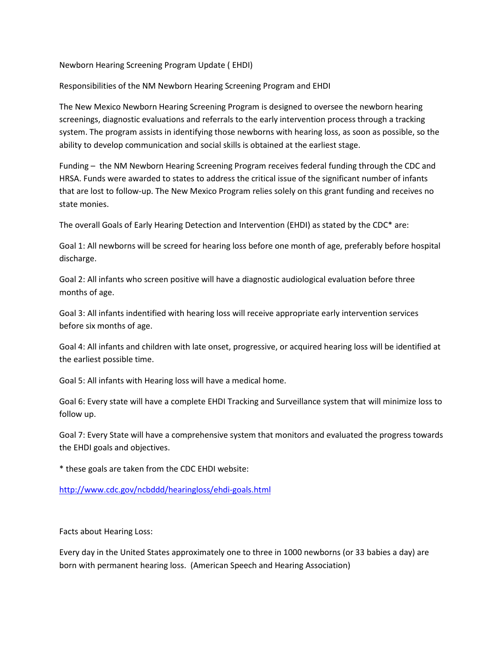## Newborn Hearing Screening Program Update ( EHDI)

Responsibilities of the NM Newborn Hearing Screening Program and EHDI

The New Mexico Newborn Hearing Screening Program is designed to oversee the newborn hearing screenings, diagnostic evaluations and referrals to the early intervention process through a tracking system. The program assists in identifying those newborns with hearing loss, as soon as possible, so the ability to develop communication and social skills is obtained at the earliest stage.

Funding – the NM Newborn Hearing Screening Program receives federal funding through the CDC and HRSA. Funds were awarded to states to address the critical issue of the significant number of infants that are lost to follow-up. The New Mexico Program relies solely on this grant funding and receives no state monies.

The overall Goals of Early Hearing Detection and Intervention (EHDI) as stated by the CDC\* are:

Goal 1: All newborns will be screed for hearing loss before one month of age, preferably before hospital discharge.

Goal 2: All infants who screen positive will have a diagnostic audiological evaluation before three months of age.

Goal 3: All infants indentified with hearing loss will receive appropriate early intervention services before six months of age.

Goal 4: All infants and children with late onset, progressive, or acquired hearing loss will be identified at the earliest possible time.

Goal 5: All infants with Hearing loss will have a medical home.

Goal 6: Every state will have a complete EHDI Tracking and Surveillance system that will minimize loss to follow up.

Goal 7: Every State will have a comprehensive system that monitors and evaluated the progress towards the EHDI goals and objectives.

\* these goals are taken from the CDC EHDI website:

<http://www.cdc.gov/ncbddd/hearingloss/ehdi-goals.html>

Facts about Hearing Loss:

Every day in the United States approximately one to three in 1000 newborns (or 33 babies a day) are born with permanent hearing loss. (American Speech and Hearing Association)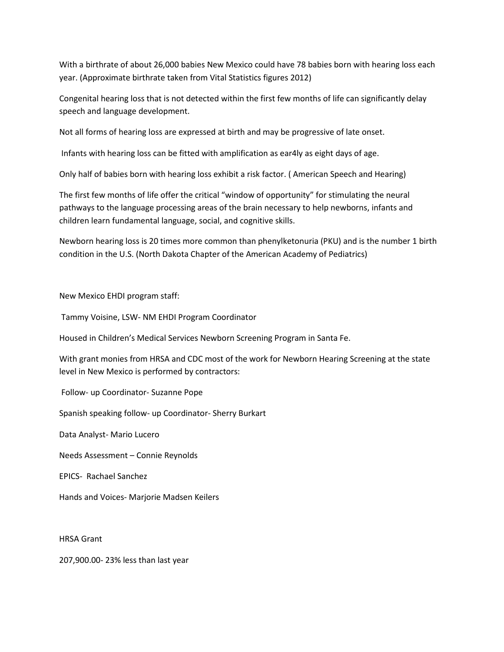With a birthrate of about 26,000 babies New Mexico could have 78 babies born with hearing loss each year. (Approximate birthrate taken from Vital Statistics figures 2012)

Congenital hearing loss that is not detected within the first few months of life can significantly delay speech and language development.

Not all forms of hearing loss are expressed at birth and may be progressive of late onset.

Infants with hearing loss can be fitted with amplification as ear4ly as eight days of age.

Only half of babies born with hearing loss exhibit a risk factor. ( American Speech and Hearing)

The first few months of life offer the critical "window of opportunity" for stimulating the neural pathways to the language processing areas of the brain necessary to help newborns, infants and children learn fundamental language, social, and cognitive skills.

Newborn hearing loss is 20 times more common than phenylketonuria (PKU) and is the number 1 birth condition in the U.S. (North Dakota Chapter of the American Academy of Pediatrics)

## New Mexico EHDI program staff:

Tammy Voisine, LSW- NM EHDI Program Coordinator

Housed in Children's Medical Services Newborn Screening Program in Santa Fe.

With grant monies from HRSA and CDC most of the work for Newborn Hearing Screening at the state level in New Mexico is performed by contractors:

Follow- up Coordinator- Suzanne Pope

Spanish speaking follow- up Coordinator- Sherry Burkart

Data Analyst- Mario Lucero

Needs Assessment – Connie Reynolds

EPICS- Rachael Sanchez

Hands and Voices- Marjorie Madsen Keilers

HRSA Grant

207,900.00- 23% less than last year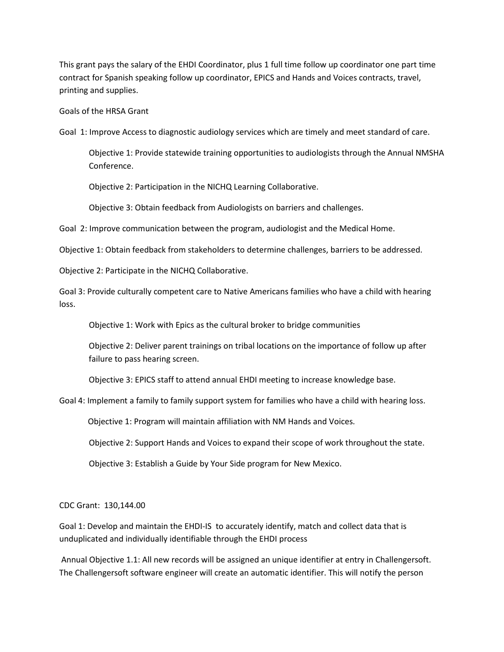This grant pays the salary of the EHDI Coordinator, plus 1 full time follow up coordinator one part time contract for Spanish speaking follow up coordinator, EPICS and Hands and Voices contracts, travel, printing and supplies.

Goals of the HRSA Grant

Goal 1: Improve Access to diagnostic audiology services which are timely and meet standard of care.

Objective 1: Provide statewide training opportunities to audiologists through the Annual NMSHA Conference.

Objective 2: Participation in the NICHQ Learning Collaborative.

Objective 3: Obtain feedback from Audiologists on barriers and challenges.

Goal 2: Improve communication between the program, audiologist and the Medical Home.

Objective 1: Obtain feedback from stakeholders to determine challenges, barriers to be addressed.

Objective 2: Participate in the NICHQ Collaborative.

Goal 3: Provide culturally competent care to Native Americans families who have a child with hearing loss.

Objective 1: Work with Epics as the cultural broker to bridge communities

Objective 2: Deliver parent trainings on tribal locations on the importance of follow up after failure to pass hearing screen.

Objective 3: EPICS staff to attend annual EHDI meeting to increase knowledge base.

Goal 4: Implement a family to family support system for families who have a child with hearing loss.

Objective 1: Program will maintain affiliation with NM Hands and Voices.

Objective 2: Support Hands and Voices to expand their scope of work throughout the state.

Objective 3: Establish a Guide by Your Side program for New Mexico.

CDC Grant: 130,144.00

Goal 1: Develop and maintain the EHDI-IS to accurately identify, match and collect data that is unduplicated and individually identifiable through the EHDI process

Annual Objective 1.1: All new records will be assigned an unique identifier at entry in Challengersoft. The Challengersoft software engineer will create an automatic identifier. This will notify the person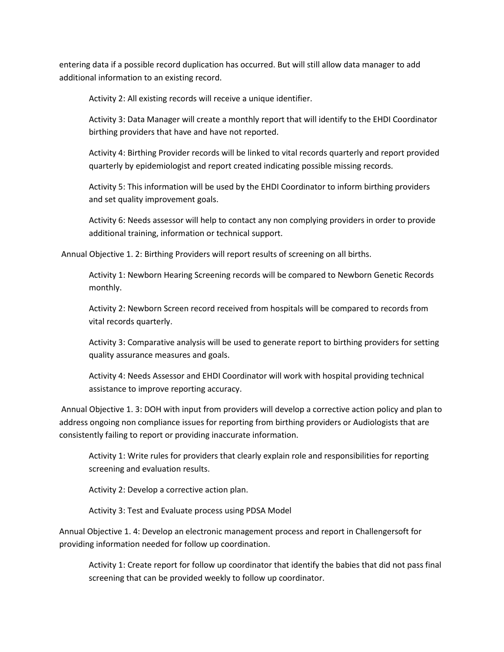entering data if a possible record duplication has occurred. But will still allow data manager to add additional information to an existing record.

Activity 2: All existing records will receive a unique identifier.

Activity 3: Data Manager will create a monthly report that will identify to the EHDI Coordinator birthing providers that have and have not reported.

Activity 4: Birthing Provider records will be linked to vital records quarterly and report provided quarterly by epidemiologist and report created indicating possible missing records.

Activity 5: This information will be used by the EHDI Coordinator to inform birthing providers and set quality improvement goals.

Activity 6: Needs assessor will help to contact any non complying providers in order to provide additional training, information or technical support.

Annual Objective 1. 2: Birthing Providers will report results of screening on all births.

Activity 1: Newborn Hearing Screening records will be compared to Newborn Genetic Records monthly.

Activity 2: Newborn Screen record received from hospitals will be compared to records from vital records quarterly.

Activity 3: Comparative analysis will be used to generate report to birthing providers for setting quality assurance measures and goals.

Activity 4: Needs Assessor and EHDI Coordinator will work with hospital providing technical assistance to improve reporting accuracy.

Annual Objective 1. 3: DOH with input from providers will develop a corrective action policy and plan to address ongoing non compliance issues for reporting from birthing providers or Audiologists that are consistently failing to report or providing inaccurate information.

Activity 1: Write rules for providers that clearly explain role and responsibilities for reporting screening and evaluation results.

Activity 2: Develop a corrective action plan.

Activity 3: Test and Evaluate process using PDSA Model

Annual Objective 1. 4: Develop an electronic management process and report in Challengersoft for providing information needed for follow up coordination.

Activity 1: Create report for follow up coordinator that identify the babies that did not pass final screening that can be provided weekly to follow up coordinator.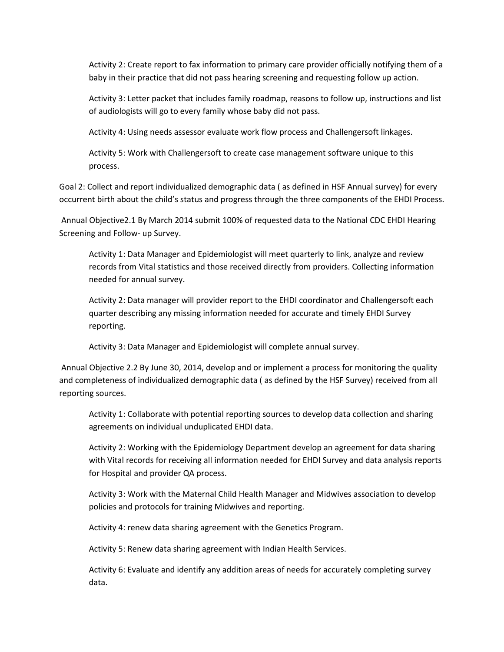Activity 2: Create report to fax information to primary care provider officially notifying them of a baby in their practice that did not pass hearing screening and requesting follow up action.

Activity 3: Letter packet that includes family roadmap, reasons to follow up, instructions and list of audiologists will go to every family whose baby did not pass.

Activity 4: Using needs assessor evaluate work flow process and Challengersoft linkages.

Activity 5: Work with Challengersoft to create case management software unique to this process.

Goal 2: Collect and report individualized demographic data ( as defined in HSF Annual survey) for every occurrent birth about the child's status and progress through the three components of the EHDI Process.

Annual Objective2.1 By March 2014 submit 100% of requested data to the National CDC EHDI Hearing Screening and Follow- up Survey.

Activity 1: Data Manager and Epidemiologist will meet quarterly to link, analyze and review records from Vital statistics and those received directly from providers. Collecting information needed for annual survey.

Activity 2: Data manager will provider report to the EHDI coordinator and Challengersoft each quarter describing any missing information needed for accurate and timely EHDI Survey reporting.

Activity 3: Data Manager and Epidemiologist will complete annual survey.

Annual Objective 2.2 By June 30, 2014, develop and or implement a process for monitoring the quality and completeness of individualized demographic data ( as defined by the HSF Survey) received from all reporting sources.

Activity 1: Collaborate with potential reporting sources to develop data collection and sharing agreements on individual unduplicated EHDI data.

Activity 2: Working with the Epidemiology Department develop an agreement for data sharing with Vital records for receiving all information needed for EHDI Survey and data analysis reports for Hospital and provider QA process.

Activity 3: Work with the Maternal Child Health Manager and Midwives association to develop policies and protocols for training Midwives and reporting.

Activity 4: renew data sharing agreement with the Genetics Program.

Activity 5: Renew data sharing agreement with Indian Health Services.

Activity 6: Evaluate and identify any addition areas of needs for accurately completing survey data.